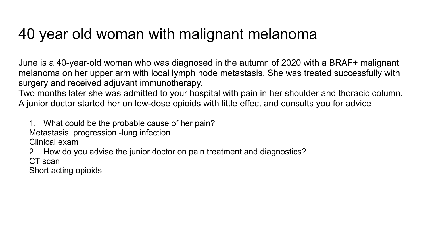## 40 year old woman with malignant melanoma

June is a 40-year-old woman who was diagnosed in the autumn of 2020 with a BRAF+ malignant melanoma on her upper arm with local lymph node metastasis. She was treated successfully with surgery and received adjuvant immunotherapy.

Two months later she was admitted to your hospital with pain in her shoulder and thoracic column. A junior doctor started her on low-dose opioids with little effect and consults you for advice

1. What could be the probable cause of her pain?

Metastasis, progression -lung infection

Clinical exam

2. How do you advise the junior doctor on pain treatment and diagnostics?

CT scan

Short acting opioids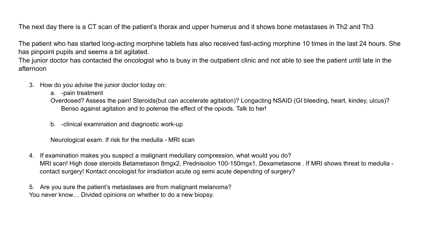The next day there is a CT scan of the patient's thorax and upper humerus and it shows bone metastases in Th2 and Th3

The patient who has started long-acting morphine tablets has also received fast-acting morphine 10 times in the last 24 hours. She has pinpoint pupils and seems a bit agitated.

The junior doctor has contacted the oncologist who is busy in the outpatient clinic and not able to see the patient until late in the afternoon

- 3. How do you advise the junior doctor today on:
	- a. -pain treatment

Overdosed? Assess the pain! Steroids(but can accelerate agitation)? Longacting NSAID (GI bleeding, heart, kindey, ulcus)? Benso against agitation and to potense the effect of the opiods. Talk to her!

b. -clinical examination and diagnostic work-up

Neurological exam. If risk for the medulla - MRI scan

4. If examination makes you suspect a malignant medullary compression, what would you do? MRI scan! High dose steroids Betametason 8mgx2, Prednisolon 100-150mgx1. Dexametasone . If MRI shows threat to medulla contact surgery! Kontact oncologist for irradiation acute og semi acute depending of surgery?

5. Are you sure the patient's metastases are from malignant melanoma? You never know… Divided opinions on whether to do a new biopsy.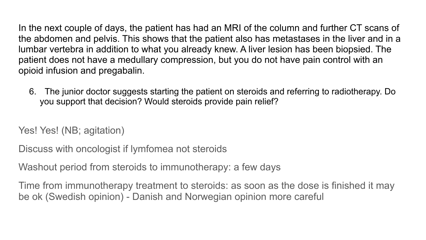In the next couple of days, the patient has had an MRI of the column and further CT scans of the abdomen and pelvis. This shows that the patient also has metastases in the liver and in a lumbar vertebra in addition to what you already knew. A liver lesion has been biopsied. The patient does not have a medullary compression, but you do not have pain control with an opioid infusion and pregabalin.

6. The junior doctor suggests starting the patient on steroids and referring to radiotherapy. Do you support that decision? Would steroids provide pain relief?

Yes! Yes! (NB; agitation)

Discuss with oncologist if lymfomea not steroids

Washout period from steroids to immunotherapy: a few days

Time from immunotherapy treatment to steroids: as soon as the dose is finished it may be ok (Swedish opinion) - Danish and Norwegian opinion more careful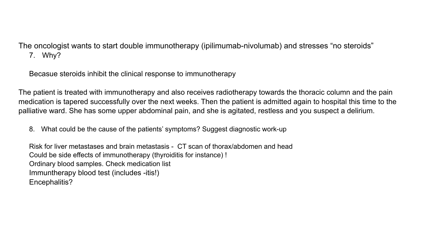The oncologist wants to start double immunotherapy (ipilimumab-nivolumab) and stresses "no steroids" 7. Why?

Becasue steroids inhibit the clinical response to immunotherapy

The patient is treated with immunotherapy and also receives radiotherapy towards the thoracic column and the pain medication is tapered successfully over the next weeks. Then the patient is admitted again to hospital this time to the palliative ward. She has some upper abdominal pain, and she is agitated, restless and you suspect a delirium.

8. What could be the cause of the patients' symptoms? Suggest diagnostic work-up

Risk for liver metastases and brain metastasis - CT scan of thorax/abdomen and head Could be side effects of immunotherapy (thyroiditis for instance) ! Ordinary blood samples. Check medication list Immuntherapy blood test (includes -itis!) Encephalitis?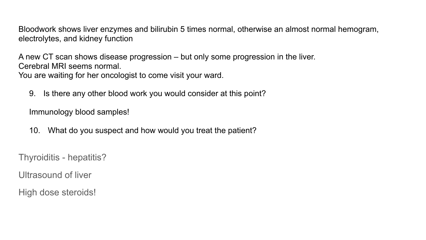Bloodwork shows liver enzymes and bilirubin 5 times normal, otherwise an almost normal hemogram, electrolytes, and kidney function

A new CT scan shows disease progression – but only some progression in the liver. Cerebral MRI seems normal.

You are waiting for her oncologist to come visit your ward.

9. Is there any other blood work you would consider at this point?

Immunology blood samples!

10. What do you suspect and how would you treat the patient?

Thyroiditis - hepatitis?

Ultrasound of liver

High dose steroids!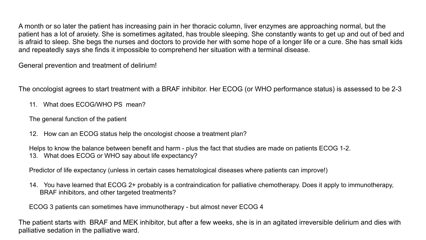A month or so later the patient has increasing pain in her thoracic column, liver enzymes are approaching normal, but the patient has a lot of anxiety. She is sometimes agitated, has trouble sleeping. She constantly wants to get up and out of bed and is afraid to sleep. She begs the nurses and doctors to provide her with some hope of a longer life or a cure. She has small kids and repeatedly says she finds it impossible to comprehend her situation with a terminal disease.

General prevention and treatment of delirium!

The oncologist agrees to start treatment with a BRAF inhibitor. Her ECOG (or WHO performance status) is assessed to be 2-3

11. What does ECOG/WHO PS mean?

The general function of the patient

12. How can an ECOG status help the oncologist choose a treatment plan?

Helps to know the balance between benefit and harm - plus the fact that studies are made on patients ECOG 1-2. 13. What does ECOG or WHO say about life expectancy?

Predictor of life expectancy (unless in certain cases hematological diseases where patients can improve!)

14. You have learned that ECOG 2+ probably is a contraindication for palliative chemotherapy. Does it apply to immunotherapy, BRAF inhibitors, and other targeted treatments?

ECOG 3 patients can sometimes have immunotherapy - but almost never ECOG 4

The patient starts with BRAF and MEK inhibitor, but after a few weeks, she is in an agitated irreversible delirium and dies with palliative sedation in the palliative ward.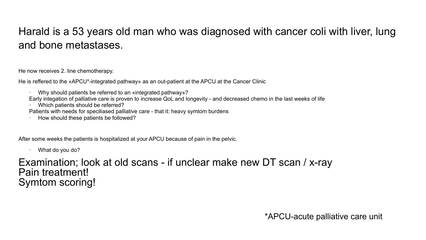## Harald is a 53 years old man who was diagnosed with cancer coli with liver, lung and bone metastases.

He now receives 2. line chemotherapy.

He is reffered to the «APCU\*-integrated pathway» as an out-patient at the APCU at the Cancer Clinic

- · Why should patients be referred to an «integrated pathway»?
- Early integation of palliative care is proven to increase QoL and longevity and decreased chemo in the last weeks of life
- Which patients should be referred?
- Patients with needs for speciliased palliative care that it: heavy symtom burdens
- · How should these patients be followed?

After some weeks the patients is hospitalized at your APCU because of pain in the pelvic.

· What do you do?

## Examination; look at old scans - if unclear make new DT scan / x-ray Pain treatment! Symtom scoring!

\*APCU-acute palliative care unit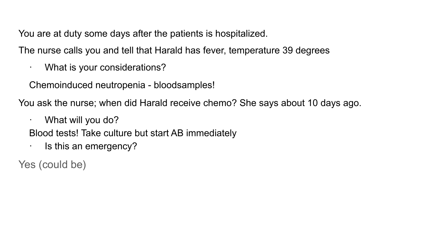You are at duty some days after the patients is hospitalized.

The nurse calls you and tell that Harald has fever, temperature 39 degrees

· What is your considerations?

Chemoinduced neutropenia - bloodsamples!

You ask the nurse; when did Harald receive chemo? She says about 10 days ago.

· What will you do?

Blood tests! Take culture but start AB immediately

· Is this an emergency?

Yes (could be)